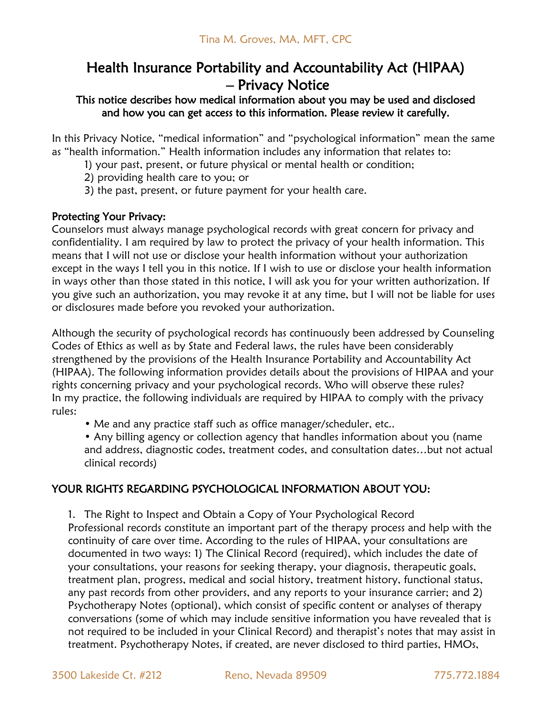## Health Insurance Portability and Accountability Act (HIPAA) – Privacy Notice

## This notice describes how medical information about you may be used and disclosed and how you can get access to this information. Please review it carefully.

In this Privacy Notice, "medical information" and "psychological information" mean the same as "health information." Health information includes any information that relates to:

- 1) your past, present, or future physical or mental health or condition;
- 2) providing health care to you; or
- 3) the past, present, or future payment for your health care.

## Protecting Your Privacy:

Counselors must always manage psychological records with great concern for privacy and confidentiality. I am required by law to protect the privacy of your health information. This means that I will not use or disclose your health information without your authorization except in the ways I tell you in this notice. If I wish to use or disclose your health information in ways other than those stated in this notice, I will ask you for your written authorization. If you give such an authorization, you may revoke it at any time, but I will not be liable for uses or disclosures made before you revoked your authorization.

Although the security of psychological records has continuously been addressed by Counseling Codes of Ethics as well as by State and Federal laws, the rules have been considerably strengthened by the provisions of the Health Insurance Portability and Accountability Act (HIPAA). The following information provides details about the provisions of HIPAA and your rights concerning privacy and your psychological records. Who will observe these rules? In my practice, the following individuals are required by HIPAA to comply with the privacy rules:

• Me and any practice staff such as office manager/scheduler, etc..

• Any billing agency or collection agency that handles information about you (name and address, diagnostic codes, treatment codes, and consultation dates…but not actual clinical records)

## YOUR RIGHTS REGARDING PSYCHOLOGICAL INFORMATION ABOUT YOU:

1. The Right to Inspect and Obtain a Copy of Your Psychological Record Professional records constitute an important part of the therapy process and help with the continuity of care over time. According to the rules of HIPAA, your consultations are documented in two ways: 1) The Clinical Record (required), which includes the date of your consultations, your reasons for seeking therapy, your diagnosis, therapeutic goals, treatment plan, progress, medical and social history, treatment history, functional status, any past records from other providers, and any reports to your insurance carrier; and 2) Psychotherapy Notes (optional), which consist of specific content or analyses of therapy conversations (some of which may include sensitive information you have revealed that is not required to be included in your Clinical Record) and therapist's notes that may assist in treatment. Psychotherapy Notes, if created, are never disclosed to third parties, HMOs,